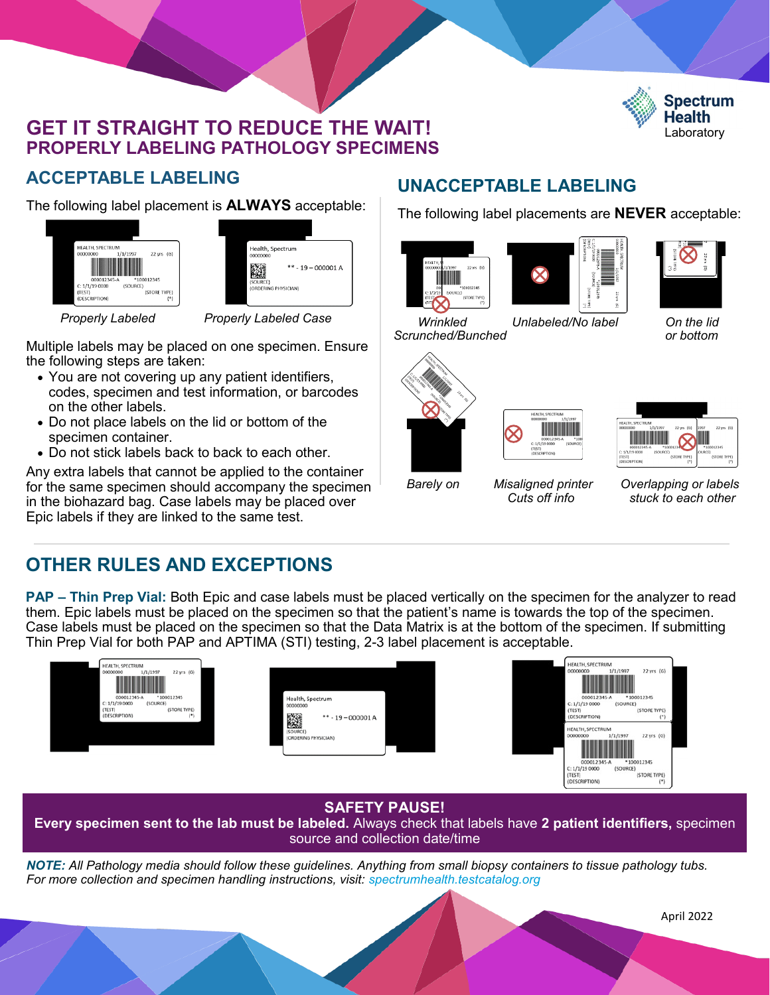### **GET IT STRAIGHT TO REDUCE THE WAIT! PROPERLY LABELING PATHOLOGY SPECIMENS**



## **ACCEPTABLE LABELING**

The following label placement is **ALWAYS** acceptable:



| Health, Spectrum<br>00000000<br>$*** - 19 - 000001$ A<br>(SOURCE)<br>(ORDERING PHYSICIAN) |  |
|-------------------------------------------------------------------------------------------|--|
|                                                                                           |  |
|                                                                                           |  |
|                                                                                           |  |

 *Properly Labeled Properly Labeled Case*

Multiple labels may be placed on one specimen. Ensure the following steps are taken:

- You are not covering up any patient identifiers, codes, specimen and test information, or barcodes on the other labels.
- Do not place labels on the lid or bottom of the specimen container.
- Do not stick labels back to back to each other.

Any extra labels that cannot be applied to the container for the same specimen should accompany the specimen in the biohazard bag. Case labels may be placed over Epic labels if they are linked to the same test.

# **UNACCEPTABLE LABELING**

The following label placements are **NEVER** acceptable:





| ő<br>( )<br>(HALL HOLS) | 22 yrs (G) |
|-------------------------|------------|
|                         |            |

 *Wrinkled Unlabeled/No label On the lid Scrunched/Bunched or bottom*





| HEALTH, SPECTRUM                   |                    |
|------------------------------------|--------------------|
| 1/1/1997<br>22 yrs (G)<br>00000000 | 1997<br>22 yrs (G) |
|                                    |                    |
| *10001234<br>000012345-A           | *100012345         |
| C: 1/1/190000<br>(SOURCE)          | <b>JOURCE</b>      |
| (STORE TYPE)<br>(TEST)             | (STORE TYPE)       |
| (DESCRIPTION)                      | (1)<br>(1)         |

*Barely on Misaligned printer Overlapping or labels Cuts off info stuck to each other*

# **OTHER RULES AND EXCEPTIONS**

**PAP – Thin Prep Vial:** Both Epic and case labels must be placed vertically on the specimen for the analyzer to read them. Epic labels must be placed on the specimen so that the patient's name is towards the top of the specimen. Case labels must be placed on the specimen so that the Data Matrix is at the bottom of the specimen. If submitting Thin Prep Vial for both PAP and APTIMA (STI) testing, 2-3 label placement is acceptable.



### **SAFETY PAUSE!**

**Every specimen sent to the lab must be labeled.** Always check that labels have **2 patient identifiers,** specimen source and collection date/time

*NOTE: All Pathology media should follow these guidelines. Anything from small biopsy containers to tissue pathology tubs. For more collection and specimen handling instructions, visit: spectrumhealth.testcatalog.org*

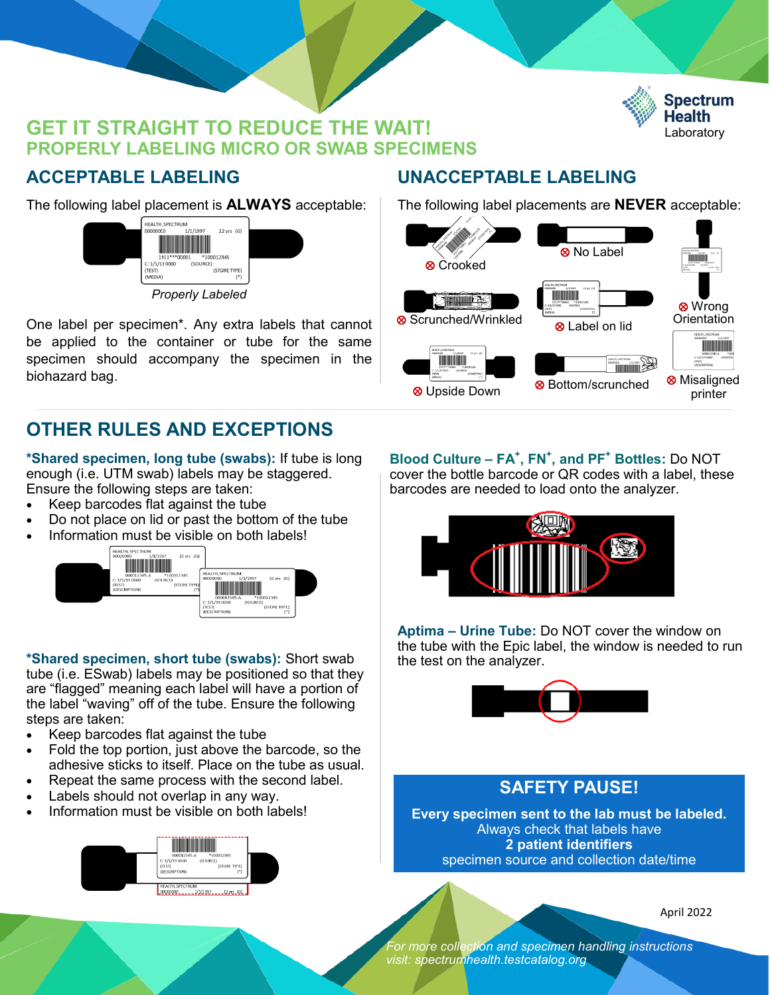### **GET IT STRAIGHT TO REDUCE THE WAIT! PROPERLY LABELING MICRO OR SWAB SPECIMENS**



### **ACCEPTABLE LABELING**

The following label placement is **ALWAYS** acceptable:



One label per specimen\*. Any extra labels that cannot be applied to the container or tube for the same specimen should accompany the specimen in the biohazard bag.

# **OTHER RULES AND EXCEPTIONS**

**\*Shared specimen, long tube (swabs):** If tube is long enough (i.e. UTM swab) labels may be staggered. Ensure the following steps are taken:

- Keep barcodes flat against the tube
- Do not place on lid or past the bottom of the tube
- 



**\*Shared specimen, short tube (swabs):** Short swab tube (i.e. ESwab) labels may be positioned so that they are "flagged" meaning each label will have a portion of the label "waving" off of the tube. Ensure the following

- steps are taken: • Keep barcodes flat against the tube
- Fold the top portion, just above the barcode, so the adhesive sticks to itself. Place on the tube as usual.
- Repeat the same process with the second label.
- Labels should not overlap in any way.
- Information must be visible on both labels!



### **UNACCEPTABLE LABELING**

The following label placements are **NEVER** acceptable:



**Blood Culture – FA<sup>+</sup> , FN<sup>+</sup> , and PF<sup>+</sup> Bottles:** Do NOT



**Aptima – Urine Tube:** Do NOT cover the window on the tube with the Epic label, the window is needed to run the test on the analyzer.



### **SAFETY PAUSE!**

**Every specimen sent to the lab must be labeled.** Always check that labels have **2 patient identifiers** specimen source and collection date/time

April 2022

*For more collection and specimen handling instructions visit: spectrumhealth.testcatalog.org*

cover the bottle barcode or QR codes with a label, these barcodes are needed to load onto the analyzer.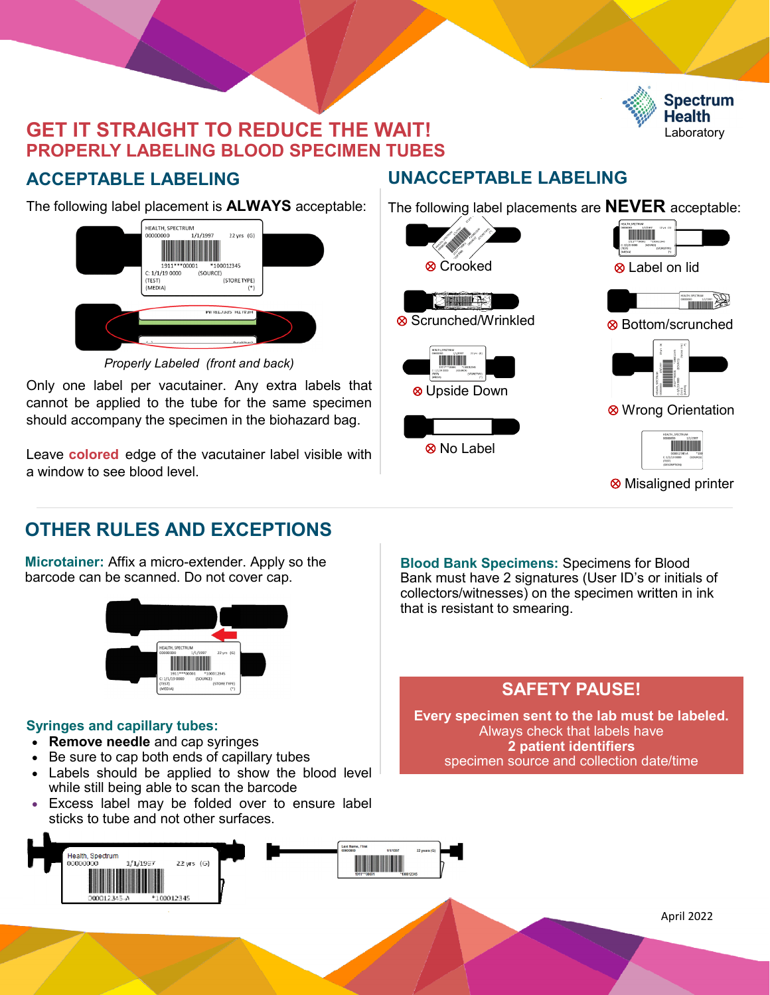

# **GET IT STRAIGHT TO REDUCE THE WAIT! PROPERLY LABELING BLOOD SPECIMEN TUBES**

# **ACCEPTABLE LABELING**

The following label placement is **ALWAYS** acceptable:



*Properly Labeled (front and back)*

Only one label per vacutainer. Any extra labels that cannot be applied to the tube for the same specimen should accompany the specimen in the biohazard bag.

Leave **colored** edge of the vacutainer label visible with a window to see blood level.

# **UNACCEPTABLE LABELING**

The following label placements are **NEVER** acceptable:



# **OTHER RULES AND EXCEPTIONS**

**Microtainer:** Affix a micro-extender. Apply so the barcode can be scanned. Do not cover cap.



### **Syringes and capillary tubes:**

- **Remove needle** and cap syringes
- Be sure to cap both ends of capillary tubes
- Labels should be applied to show the blood level while still being able to scan the barcode
- Excess label may be folded over to ensure label sticks to tube and not other surfaces.



**Blood Bank Specimens:** Specimens for Blood Bank must have 2 signatures (User ID's or initials of collectors/witnesses) on the specimen written in ink that is resistant to smearing.

# **SAFETY PAUSE!**

**Every specimen sent to the lab must be labeled.** Always check that labels have **2 patient identifiers** specimen source and collection date/time

April 2022